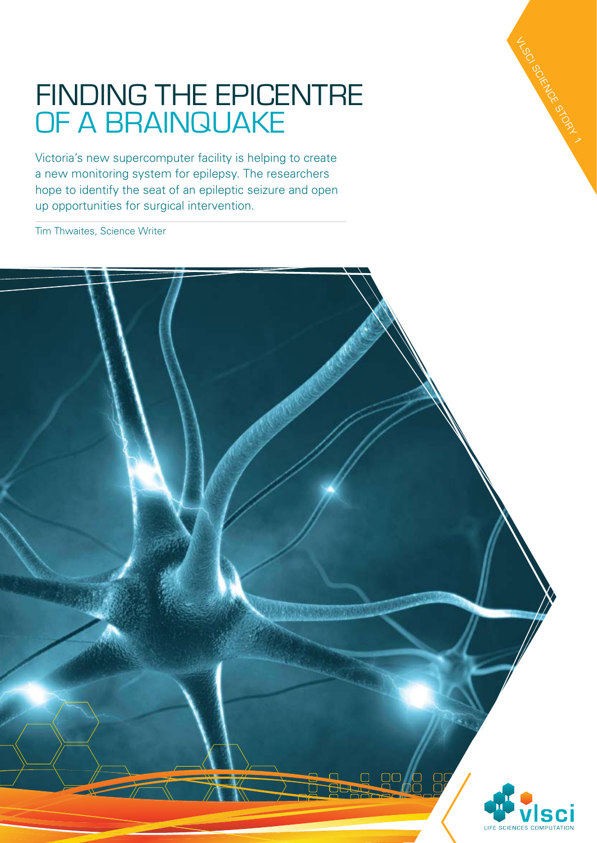## FINDING THE EPICENTRE<br>OF A BRAINQUAKE<br>Victoria's new supercomputer facility is helping to create<br>a new monitoring system for epilepsy. The researchers<br>hope to identify the seat of an epileptic seizure and open<br>up opportuni

VLSC SCIENCE STORY 1

Victoria's new supercomputer facility is helping to create a new monitoring system for epilepsy. The researchers hope to identify the seat of an epileptic seizure and open up opportunities for surgical intervention.